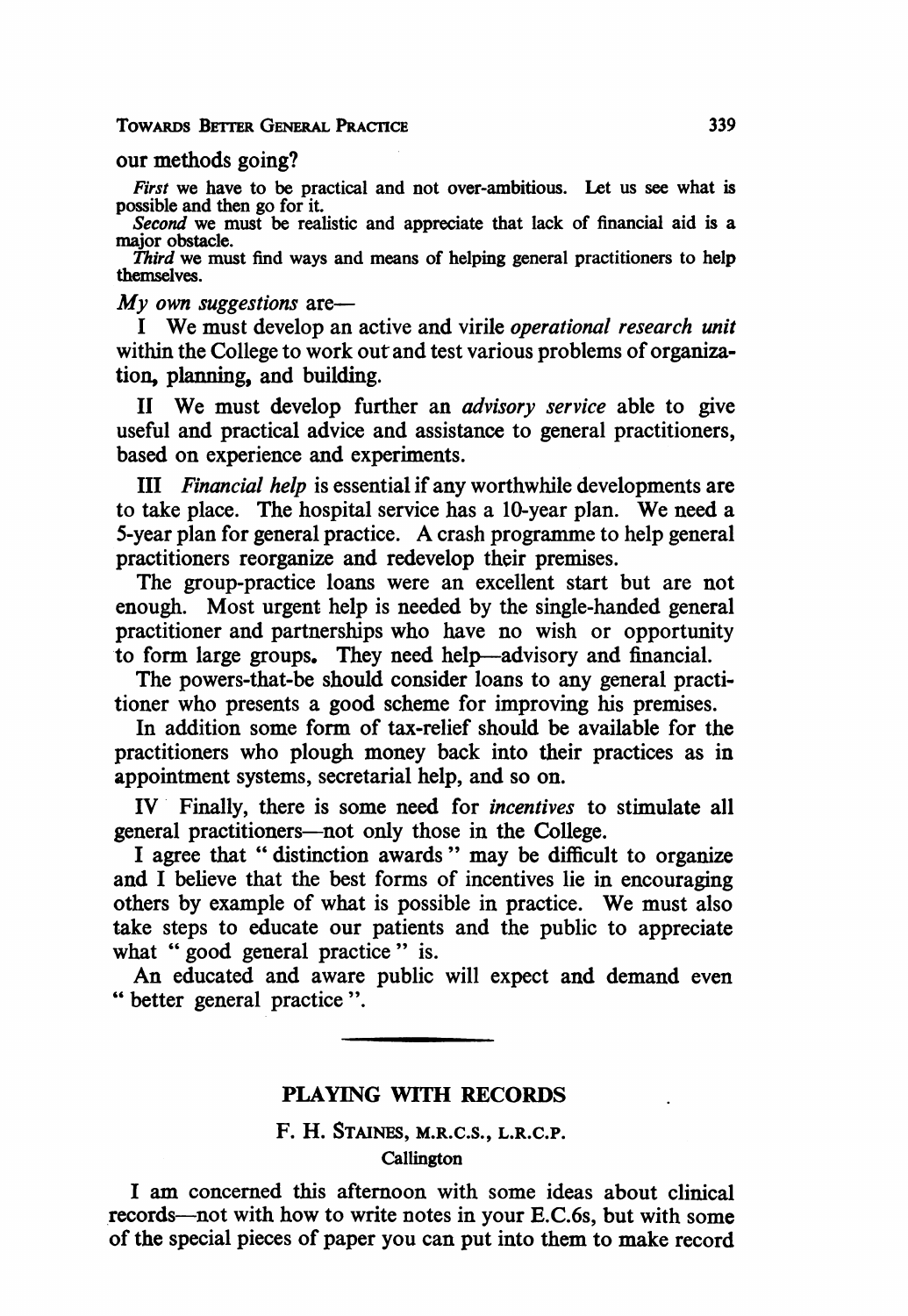#### TowARDs BErrER GENERAL PRACTICE

## our methods going?

First we have to be practical and not over-ambitious. Let us see what is possible and then go for it.

Second we must be realistic and appreciate that lack of financial aid is a major obstacle.

Third we must find ways and means of helping general practitioners to help themselves.

 $Mv$  own suggestions are-

<sup>I</sup> We must develop an active and virile operational research unit within the College to work out and test various problems of organization, planning, and building.

II We must develop further an *advisory service* able to give useful and practical advice and assistance to general practitioners, based on experience and experiments.

III Financial help is essential if any worthwhile developments are to take place. The hospital service has <sup>a</sup> 10-year plan. We need <sup>a</sup> 5-year plan for general practice. A crash programme to help general practitioners reorganize and redevelop their premises.

The group-practice loans were an excellent start but are not enough. Most urgent help is needed by the single-handed general practitioner and partnerships who have no wish or opportunity to form large groups. They need help-advisory and financial.

The powers-that-be should consider loans to any general practitioner who presents a good scheme for improving his premises.

In addition some form of tax-relief should be available for the practitioners who plough money back into their practices as in appointment systems, secretarial help, and so on.

IV Finally, there is some need for incentives to stimulate all general practitioners-not only those in the College.

<sup>I</sup> agree that " distinction awards " may be difficult to organize and <sup>I</sup> believe that the best forms of incentives lie in encouraging others by example of what is possible in practice. We must also take steps to educate our patients and the public to appreciate what " good general practice " is.

An educated and aware public will expect and demand even "better general practice ".

#### PLAYING WITH RECORDS

# F. H. STAINES, M.R.C.S., L.R.C.P.

## Callington

<sup>I</sup> am concerned this afternoon with some ideas about clinical records-not with how to write notes in your E.C.6s, but with some of the special pieces of paper you can put into them to make record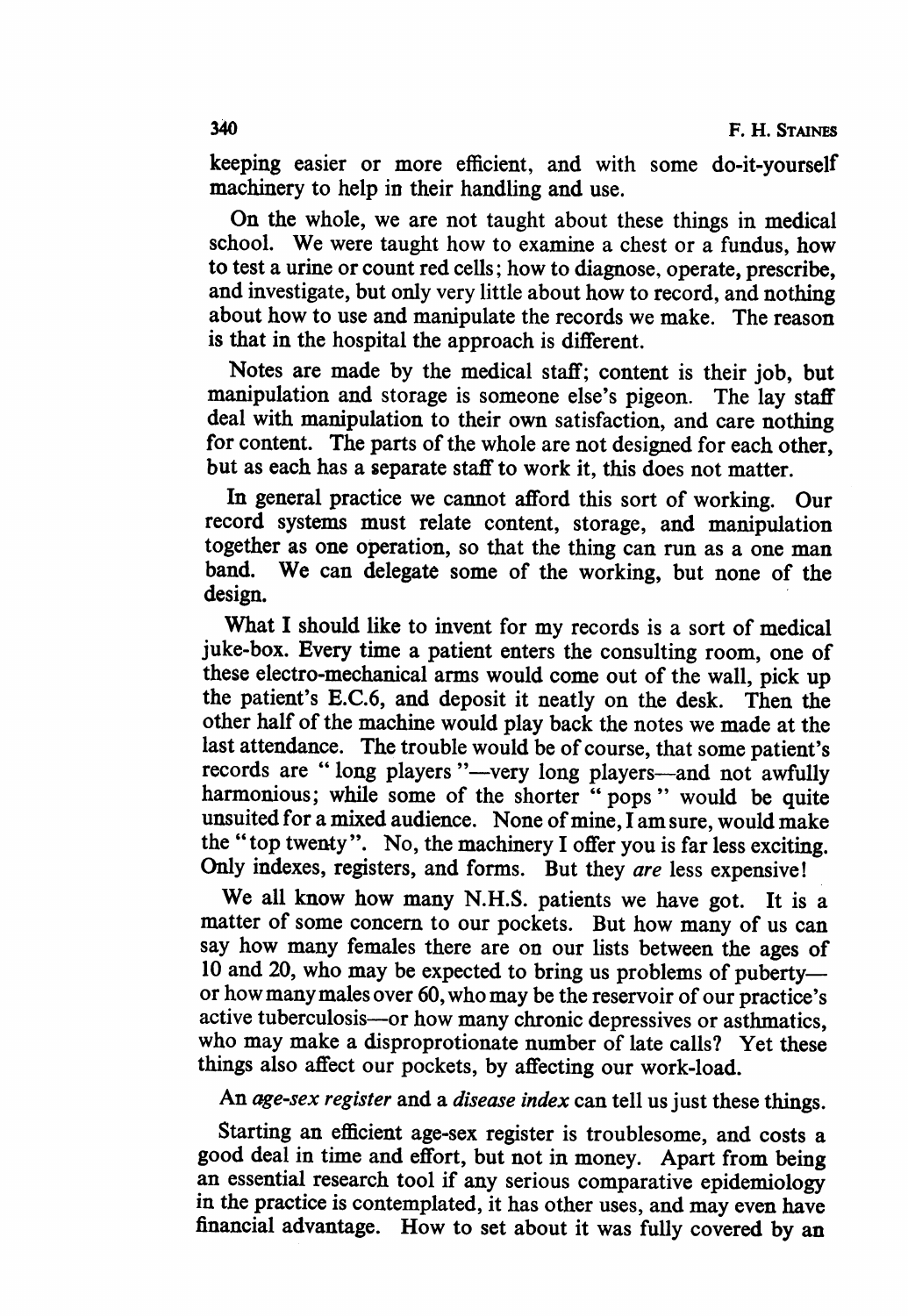keeping easier or more efficient, and with some do-it-yourself machinery to help in their handling and use.

On the whole, we are not taught about these things in medical school. We were taught how to examine <sup>a</sup> chest or <sup>a</sup> fundus, how to test a urine or count red cells; how to diagnose, operate, prescribe, and investigate, but only very little about how to record, and nothing about how to use and manipulate the records we make. The reason is that in the hospital the approach is different.

Notes are made by the medical staff; content is their job, but manipulation and storage is someone else's pigeon. The lay staff deal with manipulation to their own satisfaction, and care nothing for content. The parts of the whole are not designed for each other, but as each has a separate staff to work it, this does not matter.

In general practice we cannot afford this sort of working. Our record systems must relate content, storage, and manipulation together as one operation, so that the thing can run as a one man band. We can delegate some of the working, but none of the design.

What <sup>I</sup> should like to invent for my records is a sort of medical juke-box. Every time a patient enters the consulting room, one of these electro-mechanical arms would come out of the wall, pick up the patient's E.C.6, and deposit it neatly on the desk. Then the other half of the machine would play back the notes we made at the last attendance. The trouble would be of course, that some patient's records are "long players"-very long players-and not awfully harmonious; while some of the shorter " pops " would be quite unsuited for a mixed audience. None of mine, I am sure, would make the " top twenty". No, the machinery <sup>I</sup> offer you is far less exciting. Only indexes, registers, and forms. But they are less expensive!

We all know how many N.H.S. patients we have got. It is <sup>a</sup> matter of some concern to our pockets. But how many of us can say how many females there are on our lists between the ages of 10 and 20, who may be expected to bring us problems of pubertyor howmanymales over 60, who may be the reservoir of our practice's active tuberculosis-or how many chronic depressives or asthmatics, who may make a disproprotionate number of late calls? Yet these things also affect our pockets, by affecting our work-load.

An age-sex register and a disease index can tell us just these things.

Starting an efficient age-sex register is troublesome, and costs a good deal in time and effort, but not in money. Apart from being an essential research tool if any serious comparative epidemiology in the practice is contemplated, it has other uses, and may even have financial advantage. How to set about it was fully covered by an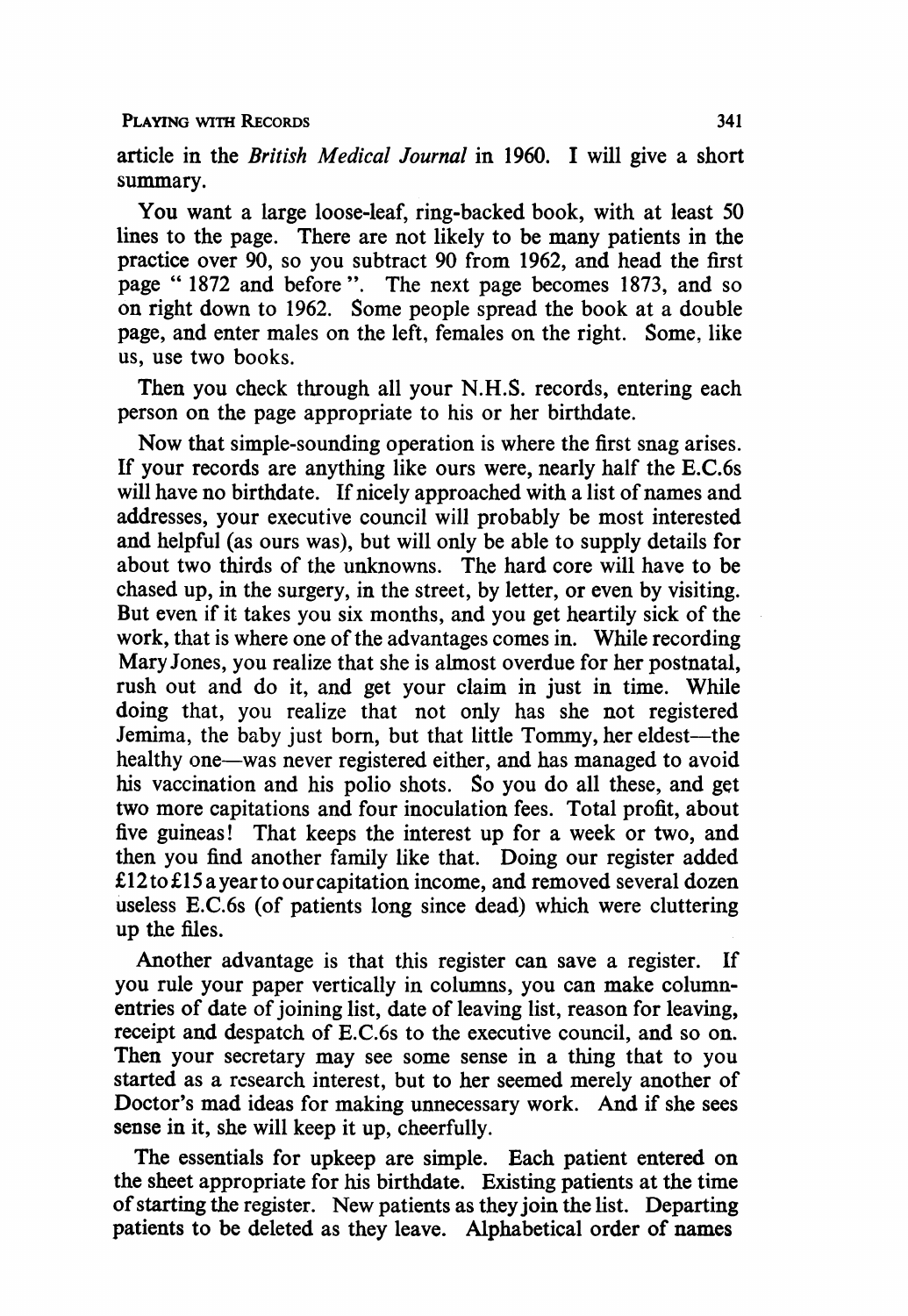article in the British Medical Journal in 1960. I will give a short summary.

You want a large loose-leaf, ring-backed book, with at least 50 lines to the page. There are not likely to be many patients in the practice over 90, so you subtract 90 from 1962, and head the first page " 1872 and before ". The next page becomes 1873, and so on right down to 1962. Some people spread the book at a double page, and enter males on the left, females on the right. Some. like us, use two books.

Then you check through all your N.H.S. records, entering each person on the page appropriate to his or her birthdate.

Now that simple-sounding operation is where the first snag arises. If your records are anything like ours were, nearly half the E.C.6s will have no birthdate. If nicely approached with a list of names and addresses, your executive council will probably be most interested and helpful (as ours was), but will only be able to supply details for about two thirds of the unknowns. The hard core will have to be chased up, in the surgery, in the street, by letter, or even by visiting. But even if it takes you six months, and you get heartily sick of the work, that is where one of the advantages comes in. While recording Mary Jones, you realize that she is almost overdue for her postnatal, rush out and do it, and get your claim in just in time. While doing that, you realize that not only has she not registered Jemima, the baby just born, but that little Tommy, her eldest—the healthy one—was never registered either, and has managed to avoid his vaccination and his polio shots. So you do all these, and get two more capitations and four inoculation fees. Total profit, about five guineas! That keeps the interest up for a week or two, and then you find another family like that. Doing our register added £12 to £15 ayearto ourcapitation income, and removed several dozen useless E.C.6s (of patients long since dead) which were cluttering up the files.

Another advantage is that this register can save a register. If you rule your paper vertically in columns, you can make columnentries of date of joining list, date of leaving list, reason for leaving, receipt and despatch of E.C.6s to the executive council, and so on. Then your secretary may see some sense in a thing that to you started as a research interest, but to her seemed merely another of Doctor's mad ideas for making unnecessary work. And if she sees sense in it, she will keep it up, cheerfully.

The essentials for upkeep are simple. Each patient entered on the sheet appropriate for his birthdate. Existing patients at the time of starting the register. New patients as they join the list. Departing patients to be deleted as they leave. Alphabetical order of names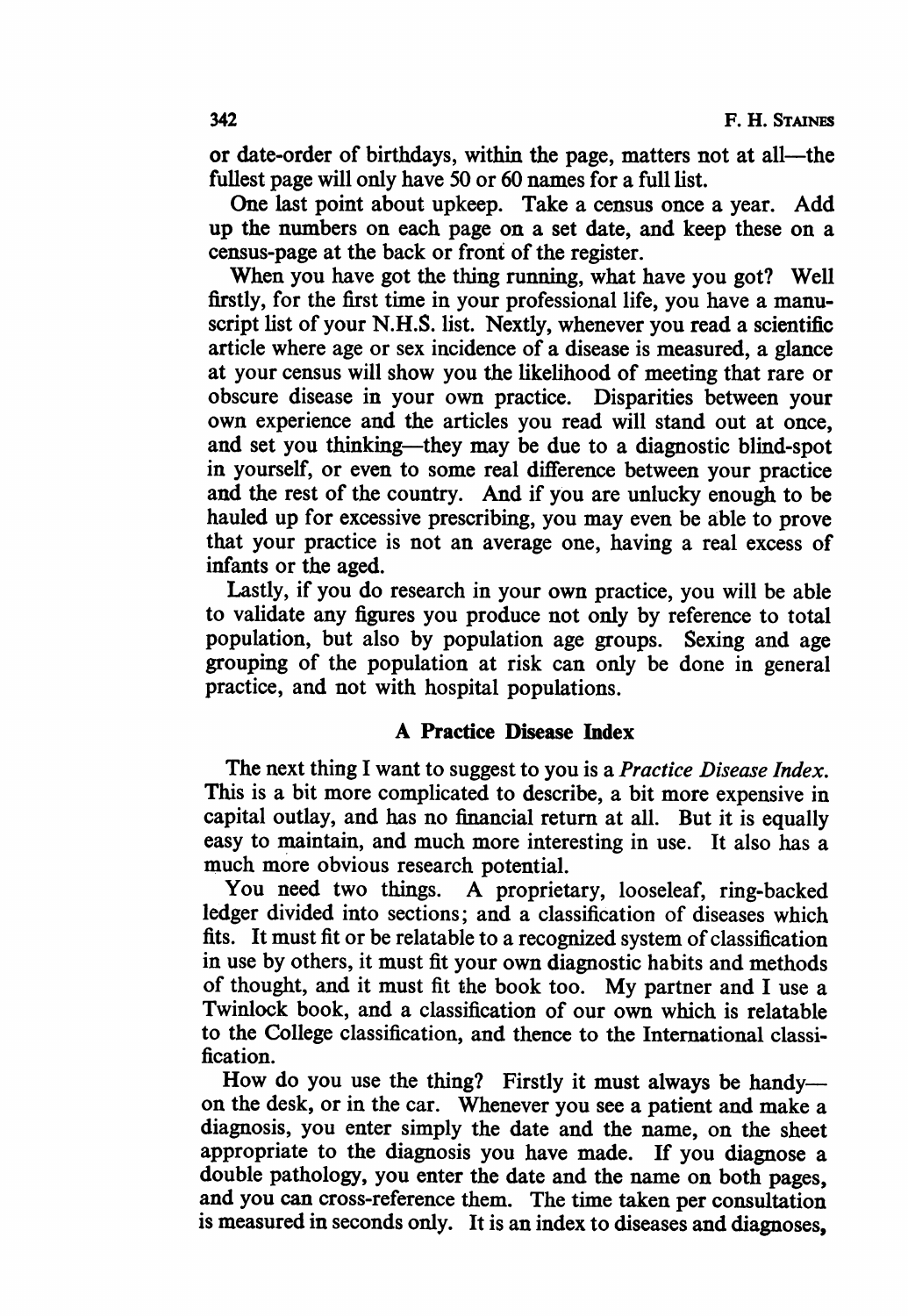or date-order of birthdays, within the page, matters not at all-the fullest page will only have 50 or 60 names for a full list.

One last point about upkeep. Take a census once a year. Add up the numbers on each page on a set date, and keep these on a census-page at the back or front of the register.

When you have got the thing running, what have you got? Well firstly, for the first time in your professional life, you have a manuscript list of your N.H.S. list. Nextly, whenever you read a scientific article where age or sex incidence of a disease is measured, a glance at your census will show you the likelihood of meeting that rare or obscure disease in your own practice. Disparities between your own experience and the articles you read will stand out at once, and set you thinking—they may be due to a diagnostic blind-spot in yourself, or even to some real difference between your practice and the rest of the country. And if you are unlucky enough to be hauled up for excessive prescribing, you may even be able to prove that your practice is not an average one, having a real excess of infants or the aged.

Lastly, if you do research in your own practice, you will be able to validate any figures you produce not only by reference to total population, but also by population age groups. Sexing and age grouping of the population at risk can only be done in general practice, and not with hospital populations.

## A Practice Disease hndex

The next thing I want to suggest to you is a *Practice Disease Index*. This is a bit more complicated to describe, a bit more expensive in capital outlay, and has no financial return at all. But it is equally easy to maintain, and much more interesting in use. It also has a much more obvious research potential.

You need two things. A proprietary, looseleaf, ring-backed ledger divided into sections; and a classification of diseases which fits. It must fit or be relatable to a recognized system of classification in use by others, it must fit your own diagnostic habits and methods of thought, and it must fit the book too. My partner and <sup>I</sup> use <sup>a</sup> Twinlock book, and a classification of our own which is relatable to the College classification, and thence to the Intermational classification.

How do you use the thing? Firstly it must always be handyon the desk, or in the car. Whenever you see a patient and make a diagnosis, you enter simply the date and the name, on the sheet appropriate to the diagnosis you have made. If you diagnose a double pathology, you enter the date and the name on both pages, and you can cross-reference them. The time taken per consultation is measured in seconds only. It is an index to diseases and diagnoses,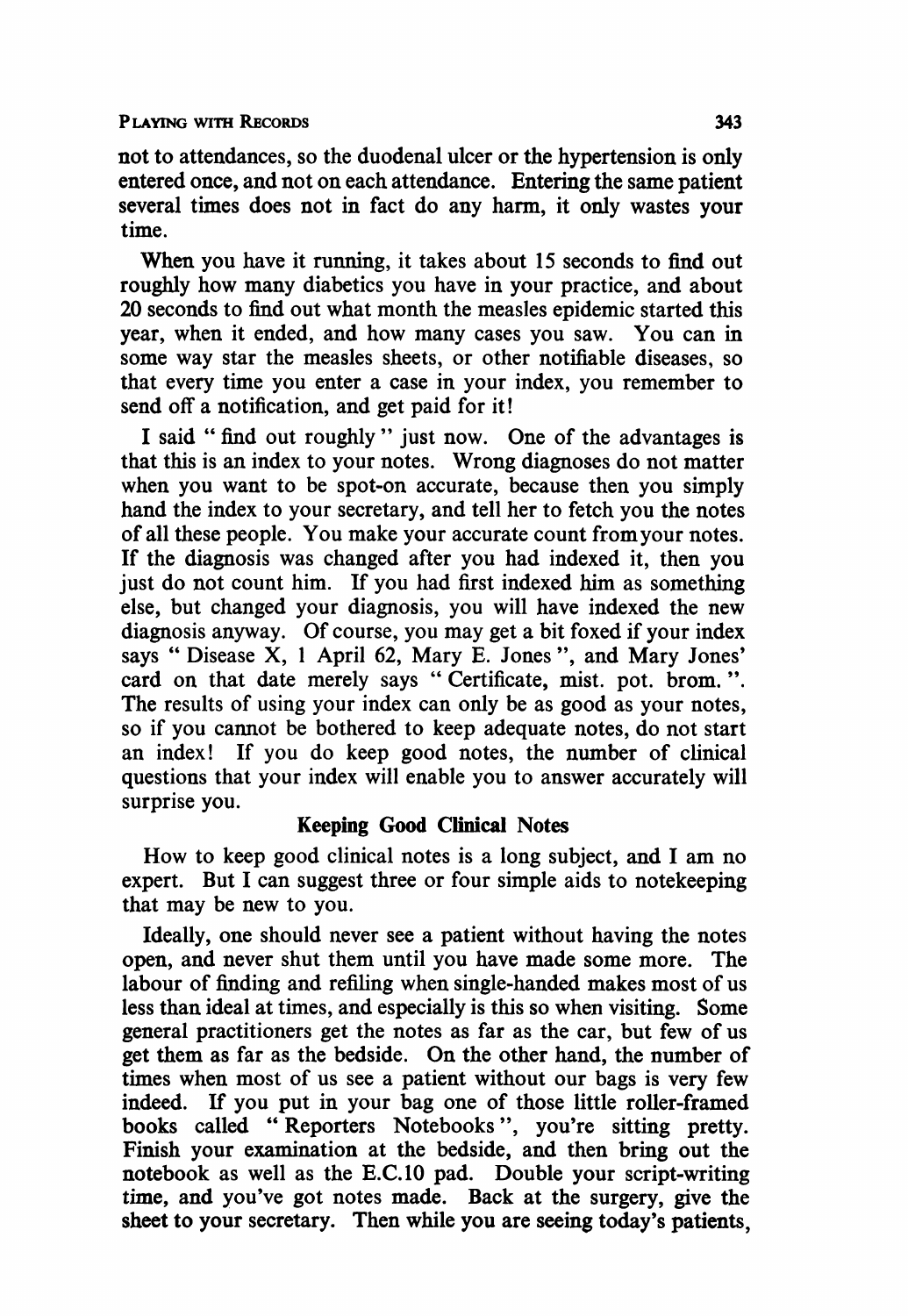PLAYING WITH RECORDS 343

not to attendances, so the duodenal ulcer or the hypertension is only entered once, and not on each attendance. Entering the same patient several times does not in fact do any harm, it only wastes your time.

When you have it running, it takes about 15 seconds to find out roughly how many diabetics you have in your practice, and about 20 seconds to find out what month the measles epidemic started this year, when it ended, and how many cases you saw. You can in some way star the measles sheets, or other notifiable diseases, so that every time you enter a case in your index, you remember to send off a notification, and get paid for it!

<sup>I</sup> said " find out roughly" just now. One of the advantages is that this is an index to your notes. Wrong diagnoses do not matter when you want to be spot-on accurate, because then you simply hand the index to your secretary, and tell her to fetch you the notes of all these people. You make your accurate count fromyour notes. If the diagnosis was changed after you had indexed it, then you just do not count him. If you had first indexed him as something else, but changed your diagnosis, you will have indexed the new diagnosis anyway. Of course, you may get a bit foxed if your index says " Disease X, <sup>1</sup> April 62, Mary E. Jones ", and Mary Jones' card on that date merely says "Certificate, mist. pot. brom.". The results of using your index can only be as good as your notes, so if you cannot be bothered to keep adequate notes, do not start an index! If you do keep good notes, the number of clinical questions that your index will enable you to answer accurately will surprise you.

#### Keeping Good Clinical Notes

How to keep good clinical notes is <sup>a</sup> long subject, and <sup>I</sup> am no expert. But <sup>I</sup> can suggest three or four simple aids to notekeeping that may be new to you.

Ideally, one should never see a patient without having the notes open, and never shut them until you have made some more. The labour of finding and refiling when single-handed makes most of us less than ideal at times, and especially is this so when visiting. Some general practitioners get the notes as far as the car, but few of us get them as far as the bedside. On the other hand, the number of times when most of us see a patient without our bags is very few indeed. If you put in your bag one of those little roller-framed books called " Reporters Notebooks ", you're sitting pretty. Finish your examination at the bedside, and then bring out the notebook as well as the E.C.10 pad. Double your script-writing time, and you've got notes made. Back at the surgery, give the sheet to your secretary. Then while you are seeing today's patients,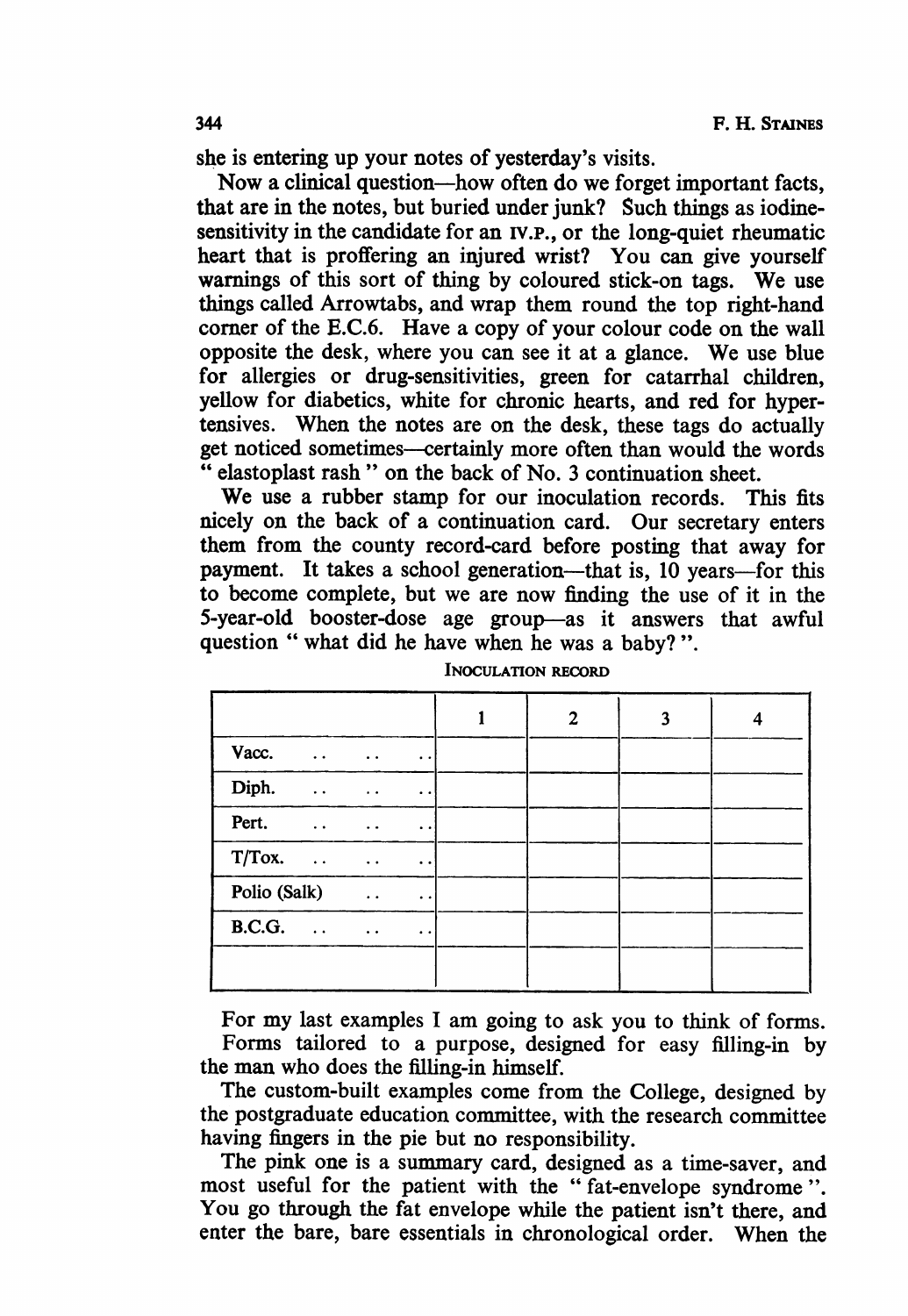she is entering up your notes of yesterday's visits.

Now <sup>a</sup> clinical question-how often do we forget important facts, that are in the notes, but buried under junk? Such things as iodinesensitivity in the candidate for an iV.P., or the long-quiet rheumatic heart that is proffering an injured wrist? You can give yourself warnings of this sort of thing by coloured stick-on tags. We use things called Arrowtabs, and wrap them round the top right-hand corner of the E.C.6. Have a copy of your colour code on the wall opposite the desk, where you can see it at <sup>a</sup> glance. We use blue for allergies or drug-sensitivities, green for catarrhal children, yellow for diabetics, white for chronic hearts, and red for hypertensives. When the notes are on the desk, these tags do actually get noticed sometimes-certainly more often than would the words " elastoplast rash " on the back of No. 3 continuation sheet.

We use <sup>a</sup> rubber stamp for our inoculation records. This fits nicely on the back of a continuation card. Our secretary enters them from the county record-card before posting that away for payment. It takes a school generation—that is, 10 years—for this to become complete, but we are now finding the use of it in the 5-year-old booster-dose age group-as it answers that awful question " what did he have when he was a baby?".

|                                                                          | 2 | 3 |  |
|--------------------------------------------------------------------------|---|---|--|
| Vacc. $\cdots$ $\cdots$<br>$\bullet$ $\bullet$                           |   |   |  |
| Diph.<br><b>Contract Contract</b><br>$\bullet$ $\bullet$                 |   |   |  |
| Pert.<br>$\sim 100$ km s $^{-1}$<br>$\bullet$ $\bullet$                  |   |   |  |
| $T/Tox.$<br>$\ddot{\phantom{a}}$                                         |   |   |  |
| Polio (Salk)<br>$\ddot{\phantom{0}}$                                     |   |   |  |
| B.C.G. $\ldots$ $\ldots$<br>$\bullet\hspace{0.4mm}\bullet\hspace{0.4mm}$ |   |   |  |
|                                                                          |   |   |  |

INOCULATION RECORD

For my last examples <sup>I</sup> am going to ask you to think of forms. Forms tailored to a purpose, designed for easy filling-in by the man who does the filling-in himself.

The custom-built examples come from the College, designed by the postgraduate education committee, with the research committee having fingers in the pie but no responsibility.

The pink one is a summary card, designed as a time-saver, and most useful for the patient with the " fat-envelope syndrome ". You go through the fat envelope while the patient isn't there, and enter the bare, bare essentials in chronological order. When the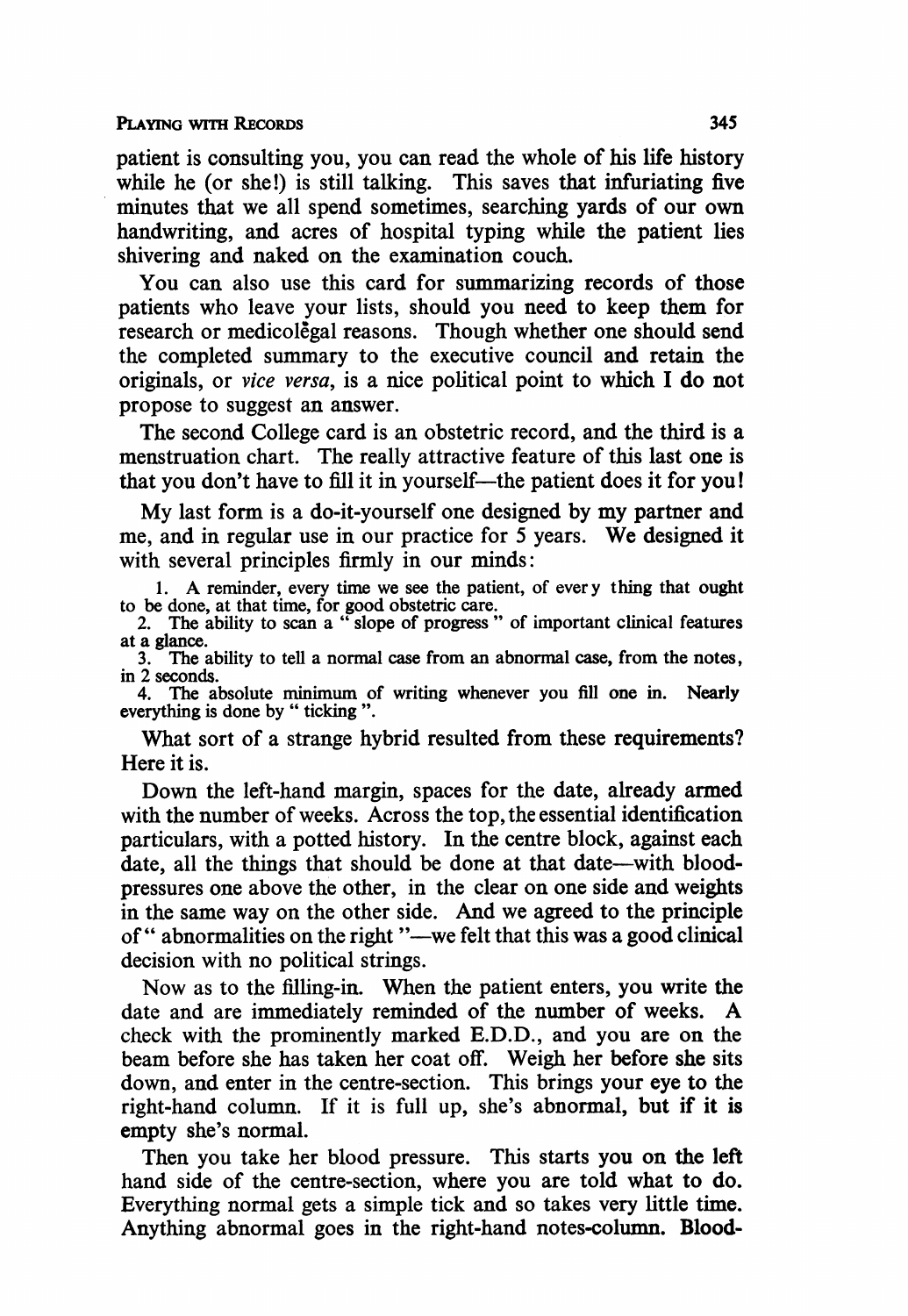#### PLAYING WITH RECORDS 345

patient is consulting you, you can read the whole of his life history while he (or she!) is still talking. This saves that infuriating five minutes that we all spend sometimes, searching yards of our own handwriting, and acres of hospital typing while the patient lies shivering and naked on the examination couch.

You can also use this card for summarizing records of those patients who leave your lists, should you need to keep them for research or medicolegal reasons. Though whether one should send the completed summary to the executive council and retain the originals, or vice versa, is a nice political point to which <sup>I</sup> do not propose to suggest an answer.

The second College card is an obstetric record, and the third is a menstruation chart. The really attractive feature of this last one is that you don't have to fill it in yourself—the patient does it for you!

My last form is <sup>a</sup> do-it-yourself one designed by my partner and me, and in regular use in our practice for <sup>5</sup> years. We designed it with several principles firmly in our minds:

1. A reminder, every time we see the patient, of every thing that ought to be done, at that time, for good obstetric care. 2. The ability to scan a " slope of progress " of important clinical features

at a glance.

 $\frac{3}{10}$ . The ability to tell a normal case from an abnormal case, from the notes, in 2 seconds.

in 2 seconds. 4. The absolute minimum of writing whenever you fill one in. Nearly everything is done by " ticking ".

What sort of a strange hybrid resulted from these requirements? Here it is.

Down the left-hand margin, spaces for the date, already armed with the number of weeks. Across the top, the essential identification particulars, with a potted history. In the centre block, against each date, all the things that should be done at that date—with bloodpressures one above the other, in the clear on one side and weights in the same way on the other side. And we agreed to the principle of " abnormalities on the right "--we felt that this was a good clinical decision with no political strings.

Now as to the filling-in. When the patient enters, you write the date and are immediately reminded of the number of weeks. A check with the prominently marked E.D.D., and you are on the beam before she has taken her coat off. Weigh her before she sits down, and enter in the centre-section. This brings your eye to the right-hand column. If it is full up, she's abnormal, but if it is empty she's normal.

Then you take her blood pressure. This starts you on the left hand side of the centre-section, where you are told what to do. Everything normal gets a simple tick and so takes very little time. Anything abnormal goes in the right-hand notes-column. Blood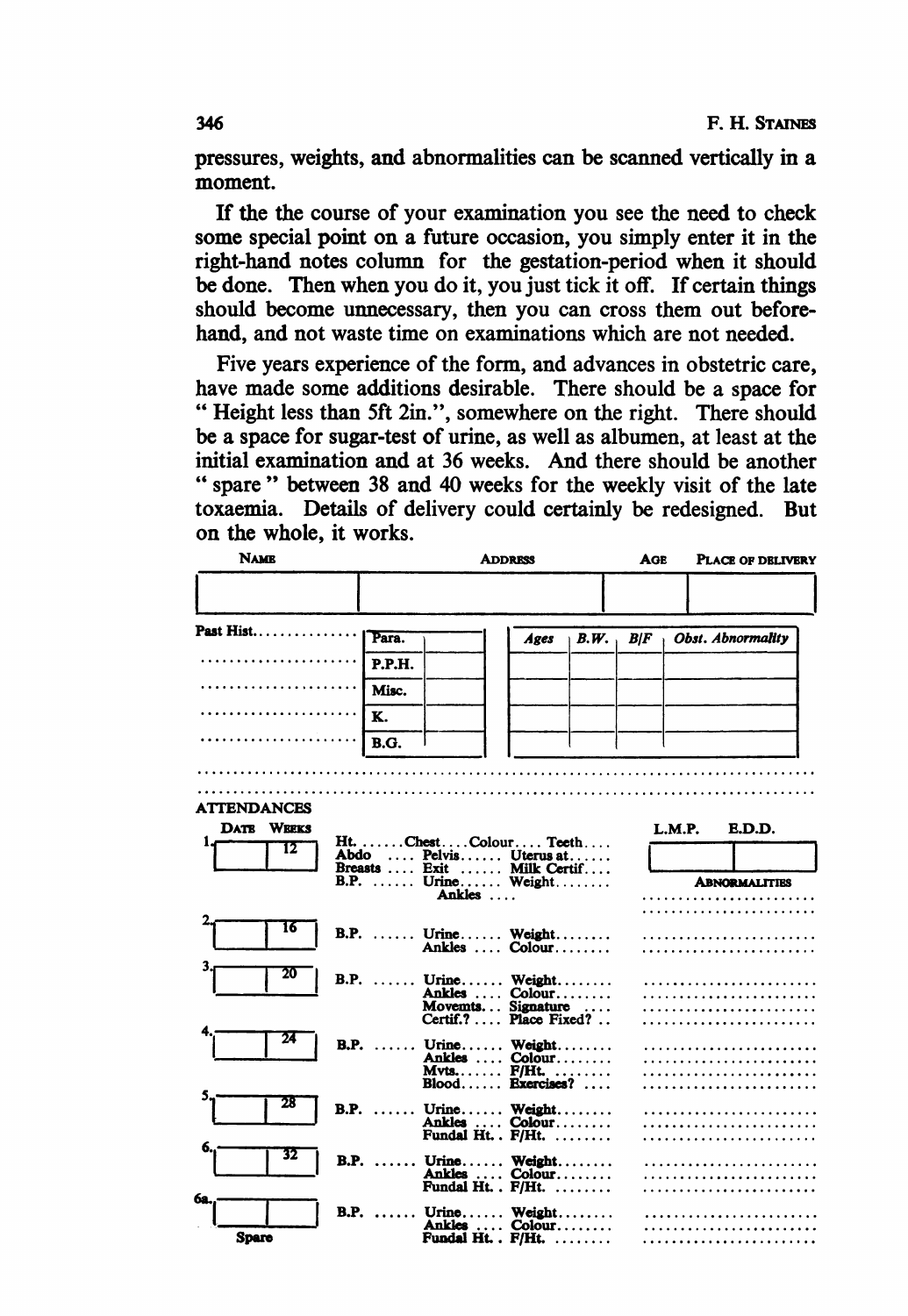pressures, weights, and abnormalities can be scanned vertically in a moment.

If the the course of your examination you see the need to check some special point on a future occasion, you simply enter it in the right-hand notes column for the gestation-period when it should be done. Then when you do it, you just tick it off. If certain things should become unnecessary, then you can cross them out beforehand, and not waste time on examinations which are not needed.

Five years experience of the form, and advances in obstetric care, have made some additions desirable. There should be a space for " Height less than 5ft 2in.", somewhere on the right. There should be a space for sugar-test of urine, as well as albumen, at least at the initial examination and at 36 weeks. And there should be another " spare" between 38 and 40 weeks for the weekly visit of the late toxaemia. Details of delivery could certainly be redesigned. But on the whole, it works.